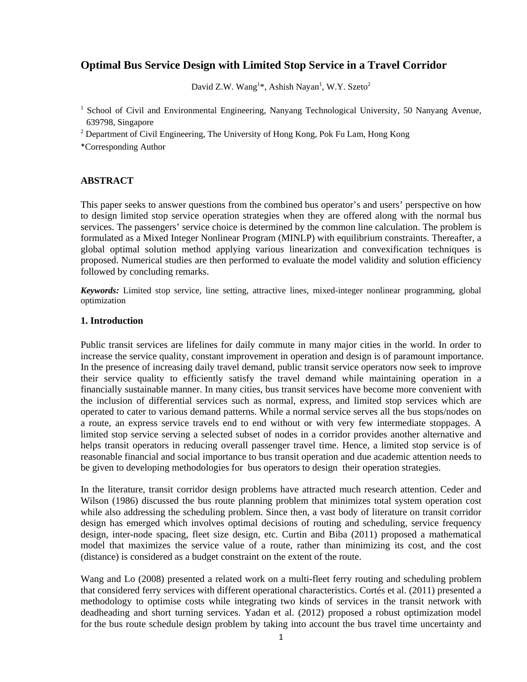# **Optimal Bus Service Design with Limited Stop Service in a Travel Corridor**

David Z.W. Wang<sup>1\*</sup>, Ashish Nayan<sup>1</sup>, W.Y. Szeto<sup>2</sup>

- <sup>1</sup> School of Civil and Environmental Engineering, Nanyang Technological University, 50 Nanyang Avenue, 639798, Singapore
- <sup>2</sup> Department of Civil Engineering, The University of Hong Kong, Pok Fu Lam, Hong Kong

\*Corresponding Author

### **ABSTRACT**

This paper seeks to answer questions from the combined bus operator's and users' perspective on how to design limited stop service operation strategies when they are offered along with the normal bus services. The passengers' service choice is determined by the common line calculation. The problem is formulated as a Mixed Integer Nonlinear Program (MINLP) with equilibrium constraints. Thereafter, a global optimal solution method applying various linearization and convexification techniques is proposed. Numerical studies are then performed to evaluate the model validity and solution efficiency followed by concluding remarks.

*Keywords:* Limited stop service, line setting, attractive lines, mixed-integer nonlinear programming, global optimization

#### **1. Introduction**

Public transit services are lifelines for daily commute in many major cities in the world. In order to increase the service quality, constant improvement in operation and design is of paramount importance. In the presence of increasing daily travel demand, public transit service operators now seek to improve their service quality to efficiently satisfy the travel demand while maintaining operation in a financially sustainable manner. In many cities, bus transit services have become more convenient with the inclusion of differential services such as normal, express, and limited stop services which are operated to cater to various demand patterns. While a normal service serves all the bus stops/nodes on a route, an express service travels end to end without or with very few intermediate stoppages. A limited stop service serving a selected subset of nodes in a corridor provides another alternative and helps transit operators in reducing overall passenger travel time. Hence, a limited stop service is of reasonable financial and social importance to bus transit operation and due academic attention needs to be given to developing methodologies for bus operators to design their operation strategies.

In the literature, transit corridor design problems have attracted much research attention. Ceder and Wilson (1986) discussed the bus route planning problem that minimizes total system operation cost while also addressing the scheduling problem. Since then, a vast body of literature on transit corridor design has emerged which involves optimal decisions of routing and scheduling, service frequency design, inter-node spacing, fleet size design, etc. Curtin and Biba (2011) proposed a mathematical model that maximizes the service value of a route, rather than minimizing its cost, and the cost (distance) is considered as a budget constraint on the extent of the route.

Wang and Lo (2008) presented a related work on a multi-fleet ferry routing and scheduling problem that considered ferry services with different operational characteristics. Cortés et al. (2011) presented a methodology to optimise costs while integrating two kinds of services in the transit network with deadheading and short turning services. Yadan et al. (2012) proposed a robust optimization model for the bus route schedule design problem by taking into account the bus travel time uncertainty and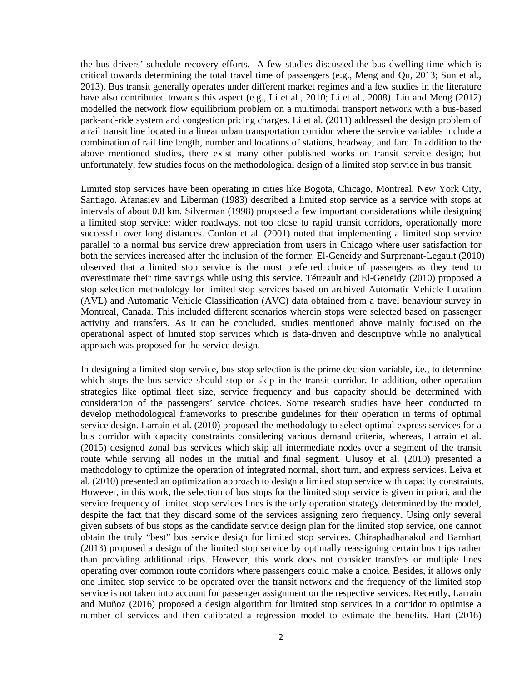the bus drivers' schedule recovery efforts. A few studies discussed the bus dwelling time which is critical towards determining the total travel time of passengers (e.g., Meng and Qu, 2013; Sun et al., 2013). Bus transit generally operates under different market regimes and a few studies in the literature have also contributed towards this aspect (e.g., Li et al., 2010; Li et al., 2008). Liu and Meng (2012) modelled the network flow equilibrium problem on a multimodal transport network with a bus-based park-and-ride system and congestion pricing charges. Li et al. (2011) addressed the design problem of a rail transit line located in a linear urban transportation corridor where the service variables include a combination of rail line length, number and locations of stations, headway, and fare. In addition to the above mentioned studies, there exist many other published works on transit service design; but unfortunately, few studies focus on the methodological design of a limited stop service in bus transit.

Limited stop services have been operating in cities like Bogota, Chicago, Montreal, New York City, Santiago. Afanasiev and Liberman (1983) described a limited stop service as a service with stops at intervals of about 0.8 km. Silverman (1998) proposed a few important considerations while designing a limited stop service: wider roadways, not too close to rapid transit corridors, operationally more successful over long distances. Conlon et al. (2001) noted that implementing a limited stop service parallel to a normal bus service drew appreciation from users in Chicago where user satisfaction for both the services increased after the inclusion of the former. El-Geneidy and Surprenant-Legault (2010) observed that a limited stop service is the most preferred choice of passengers as they tend to overestimate their time savings while using this service. Tétreault and El-Geneidy (2010) proposed a stop selection methodology for limited stop services based on archived Automatic Vehicle Location (AVL) and Automatic Vehicle Classification (AVC) data obtained from a travel behaviour survey in Montreal, Canada. This included different scenarios wherein stops were selected based on passenger activity and transfers. As it can be concluded, studies mentioned above mainly focused on the operational aspect of limited stop services which is data-driven and descriptive while no analytical approach was proposed for the service design.

In designing a limited stop service, bus stop selection is the prime decision variable, i.e., to determine which stops the bus service should stop or skip in the transit corridor. In addition, other operation strategies like optimal fleet size, service frequency and bus capacity should be determined with consideration of the passengers' service choices. Some research studies have been conducted to develop methodological frameworks to prescribe guidelines for their operation in terms of optimal service design. Larrain et al. (2010) proposed the methodology to select optimal express services for a bus corridor with capacity constraints considering various demand criteria, whereas, Larrain et al. (2015) designed zonal bus services which skip all intermediate nodes over a segment of the transit route while serving all nodes in the initial and final segment. Ulusoy et al. (2010) presented a methodology to optimize the operation of integrated normal, short turn, and express services. Leiva et al. (2010) presented an optimization approach to design a limited stop service with capacity constraints. However, in this work, the selection of bus stops for the limited stop service is given in priori, and the service frequency of limited stop services lines is the only operation strategy determined by the model, despite the fact that they discard some of the services assigning zero frequency. Using only several given subsets of bus stops as the candidate service design plan for the limited stop service, one cannot obtain the truly "best" bus service design for limited stop services. Chiraphadhanakul and Barnhart (2013) proposed a design of the limited stop service by optimally reassigning certain bus trips rather than providing additional trips. However, this work does not consider transfers or multiple lines operating over common route corridors where passengers could make a choice. Besides, it allows only one limited stop service to be operated over the transit network and the frequency of the limited stop service is not taken into account for passenger assignment on the respective services. Recently, Larrain and Muñoz (2016) proposed a design algorithm for limited stop services in a corridor to optimise a number of services and then calibrated a regression model to estimate the benefits. Hart (2016)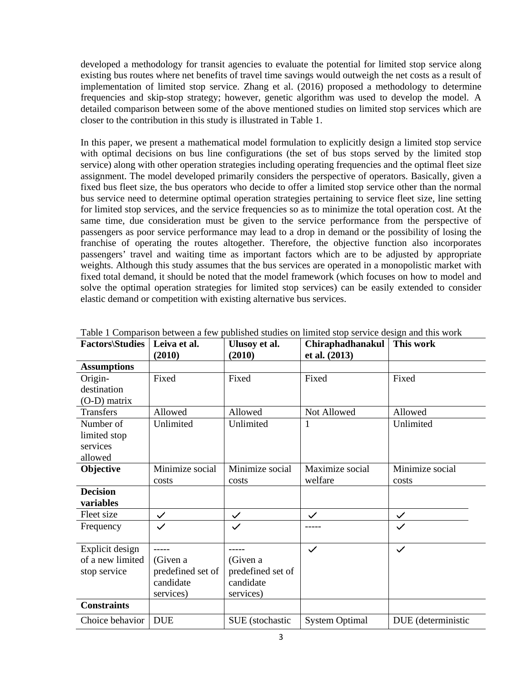developed a methodology for transit agencies to evaluate the potential for limited stop service along existing bus routes where net benefits of travel time savings would outweigh the net costs as a result of implementation of limited stop service. Zhang et al. (2016) proposed a methodology to determine frequencies and skip-stop strategy; however, genetic algorithm was used to develop the model. A detailed comparison between some of the above mentioned studies on limited stop services which are closer to the contribution in this study is illustrated in Table 1.

In this paper, we present a mathematical model formulation to explicitly design a limited stop service with optimal decisions on bus line configurations (the set of bus stops served by the limited stop service) along with other operation strategies including operating frequencies and the optimal fleet size assignment. The model developed primarily considers the perspective of operators. Basically, given a fixed bus fleet size, the bus operators who decide to offer a limited stop service other than the normal bus service need to determine optimal operation strategies pertaining to service fleet size, line setting for limited stop services, and the service frequencies so as to minimize the total operation cost. At the same time, due consideration must be given to the service performance from the perspective of passengers as poor service performance may lead to a drop in demand or the possibility of losing the franchise of operating the routes altogether. Therefore, the objective function also incorporates passengers' travel and waiting time as important factors which are to be adjusted by appropriate weights. Although this study assumes that the bus services are operated in a monopolistic market with fixed total demand, it should be noted that the model framework (which focuses on how to model and solve the optimal operation strategies for limited stop services) can be easily extended to consider elastic demand or competition with existing alternative bus services.

| <b>Factors\Studies</b>                              | Leiva et al.                                            |                                                         | Chiraphadhanakul           | This work                |  |
|-----------------------------------------------------|---------------------------------------------------------|---------------------------------------------------------|----------------------------|--------------------------|--|
| <b>Assumptions</b>                                  | (2010)                                                  | (2010)                                                  | et al. $(2013)$            |                          |  |
| Origin-<br>destination<br>$(O-D)$ matrix            | Fixed                                                   | Fixed                                                   | Fixed                      | Fixed                    |  |
| Transfers                                           | Allowed                                                 | Allowed                                                 | Not Allowed                | Allowed                  |  |
| Number of<br>limited stop<br>services<br>allowed    | Unlimited                                               | Unlimited                                               | 1                          | Unlimited                |  |
| Objective                                           | Minimize social<br>costs                                | Minimize social<br>costs                                | Maximize social<br>welfare | Minimize social<br>costs |  |
| <b>Decision</b><br>variables                        |                                                         |                                                         |                            |                          |  |
| Fleet size                                          | $\checkmark$                                            | $\checkmark$                                            | $\checkmark$               | $\checkmark$             |  |
| Frequency                                           | $\checkmark$                                            | $\checkmark$                                            |                            | $\checkmark$             |  |
| Explicit design<br>of a new limited<br>stop service | (Given a<br>predefined set of<br>candidate<br>services) | (Given a<br>predefined set of<br>candidate<br>services) | $\checkmark$               | $\checkmark$             |  |
| <b>Constraints</b>                                  |                                                         |                                                         |                            |                          |  |
| Choice behavior                                     | <b>DUE</b>                                              | SUE (stochastic                                         | <b>System Optimal</b>      | DUE (deterministic       |  |

|  |  |  | Table 1 Comparison between a few published studies on limited stop service design and this work |
|--|--|--|-------------------------------------------------------------------------------------------------|
|  |  |  |                                                                                                 |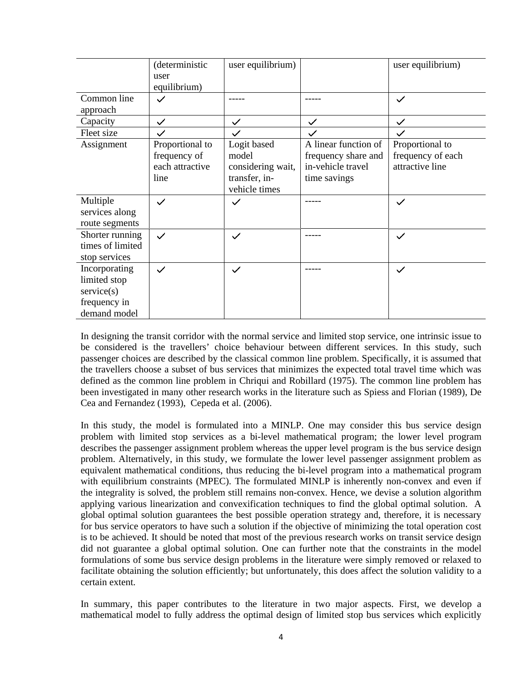|                                                                                   | (deterministic                                             | user equilibrium)                                                           |                                                                                  | user equilibrium)                                       |
|-----------------------------------------------------------------------------------|------------------------------------------------------------|-----------------------------------------------------------------------------|----------------------------------------------------------------------------------|---------------------------------------------------------|
|                                                                                   | user<br>equilibrium)                                       |                                                                             |                                                                                  |                                                         |
| Common line<br>approach                                                           | $\checkmark$                                               |                                                                             |                                                                                  | $\checkmark$                                            |
| Capacity                                                                          | $\checkmark$                                               | $\checkmark$                                                                | $\checkmark$                                                                     | $\checkmark$                                            |
| Fleet size                                                                        | $\checkmark$                                               | $\checkmark$                                                                | $\checkmark$                                                                     |                                                         |
| Assignment                                                                        | Proportional to<br>frequency of<br>each attractive<br>line | Logit based<br>model<br>considering wait,<br>transfer, in-<br>vehicle times | A linear function of<br>frequency share and<br>in-vehicle travel<br>time savings | Proportional to<br>frequency of each<br>attractive line |
| Multiple<br>services along<br>route segments                                      | $\checkmark$                                               |                                                                             |                                                                                  | $\checkmark$                                            |
| Shorter running<br>times of limited<br>stop services                              | $\checkmark$                                               |                                                                             |                                                                                  |                                                         |
| Incorporating<br>limited stop<br>$s$ ervice $(s)$<br>frequency in<br>demand model | $\checkmark$                                               | $\checkmark$                                                                |                                                                                  | $\checkmark$                                            |

In designing the transit corridor with the normal service and limited stop service, one intrinsic issue to be considered is the travellers' choice behaviour between different services. In this study, such passenger choices are described by the classical common line problem. Specifically, it is assumed that the travellers choose a subset of bus services that minimizes the expected total travel time which was defined as the common line problem in Chriqui and Robillard (1975). The common line problem has been investigated in many other research works in the literature such as Spiess and Florian (1989), De Cea and Fernandez (1993), Cepeda et al. (2006).

In this study, the model is formulated into a MINLP. One may consider this bus service design problem with limited stop services as a bi-level mathematical program; the lower level program describes the passenger assignment problem whereas the upper level program is the bus service design problem. Alternatively, in this study, we formulate the lower level passenger assignment problem as equivalent mathematical conditions, thus reducing the bi-level program into a mathematical program with equilibrium constraints (MPEC). The formulated MINLP is inherently non-convex and even if the integrality is solved, the problem still remains non-convex. Hence, we devise a solution algorithm applying various linearization and convexification techniques to find the global optimal solution. A global optimal solution guarantees the best possible operation strategy and, therefore, it is necessary for bus service operators to have such a solution if the objective of minimizing the total operation cost is to be achieved. It should be noted that most of the previous research works on transit service design did not guarantee a global optimal solution. One can further note that the constraints in the model formulations of some bus service design problems in the literature were simply removed or relaxed to facilitate obtaining the solution efficiently; but unfortunately, this does affect the solution validity to a certain extent.

In summary, this paper contributes to the literature in two major aspects. First, we develop a mathematical model to fully address the optimal design of limited stop bus services which explicitly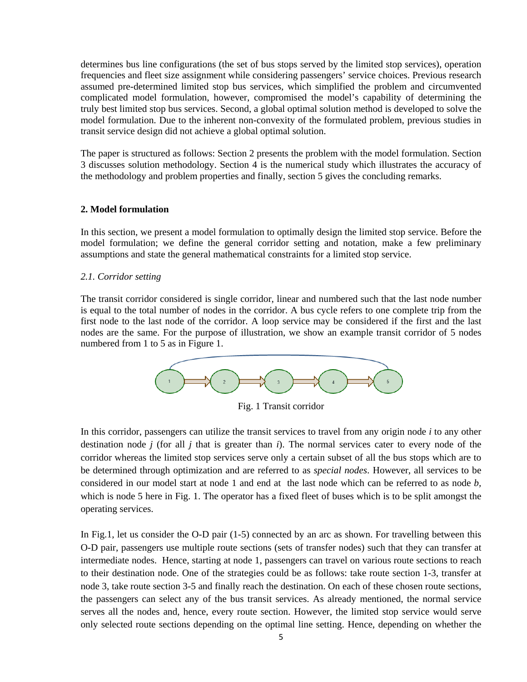determines bus line configurations (the set of bus stops served by the limited stop services), operation frequencies and fleet size assignment while considering passengers' service choices. Previous research assumed pre-determined limited stop bus services, which simplified the problem and circumvented complicated model formulation, however, compromised the model's capability of determining the truly best limited stop bus services. Second, a global optimal solution method is developed to solve the model formulation. Due to the inherent non-convexity of the formulated problem, previous studies in transit service design did not achieve a global optimal solution.

The paper is structured as follows: Section 2 presents the problem with the model formulation. Section 3 discusses solution methodology. Section 4 is the numerical study which illustrates the accuracy of the methodology and problem properties and finally, section 5 gives the concluding remarks.

#### **2. Model formulation**

In this section, we present a model formulation to optimally design the limited stop service. Before the model formulation; we define the general corridor setting and notation, make a few preliminary assumptions and state the general mathematical constraints for a limited stop service.

#### *2.1. Corridor setting*

The transit corridor considered is single corridor, linear and numbered such that the last node number is equal to the total number of nodes in the corridor. A bus cycle refers to one complete trip from the first node to the last node of the corridor. A loop service may be considered if the first and the last nodes are the same. For the purpose of illustration, we show an example transit corridor of 5 nodes numbered from 1 to 5 as in Figure 1.



Fig. 1 Transit corridor

In this corridor, passengers can utilize the transit services to travel from any origin node *i* to any other destination node *j* (for all *j* that is greater than *i*). The normal services cater to every node of the corridor whereas the limited stop services serve only a certain subset of all the bus stops which are to be determined through optimization and are referred to as *special nodes*. However, all services to be considered in our model start at node 1 and end at the last node which can be referred to as node *b,* which is node 5 here in Fig. 1. The operator has a fixed fleet of buses which is to be split amongst the operating services.

In Fig.1, let us consider the O-D pair (1-5) connected by an arc as shown. For travelling between this O-D pair, passengers use multiple route sections (sets of transfer nodes) such that they can transfer at intermediate nodes. Hence, starting at node 1, passengers can travel on various route sections to reach to their destination node. One of the strategies could be as follows: take route section 1-3, transfer at node 3, take route section 3-5 and finally reach the destination. On each of these chosen route sections, the passengers can select any of the bus transit services. As already mentioned, the normal service serves all the nodes and, hence, every route section. However, the limited stop service would serve only selected route sections depending on the optimal line setting. Hence, depending on whether the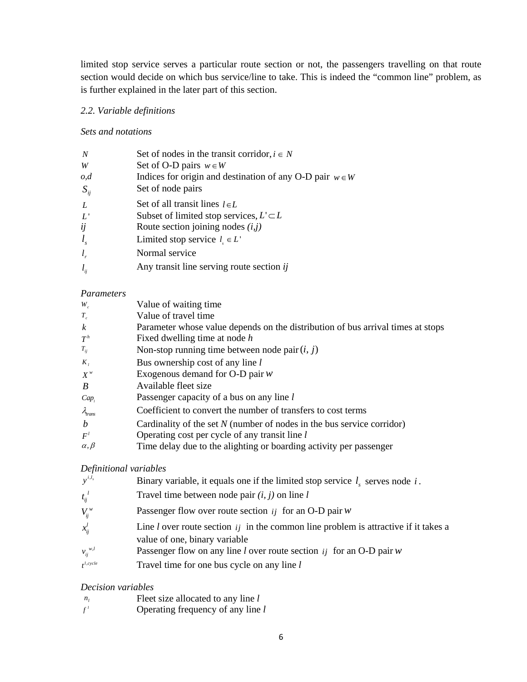limited stop service serves a particular route section or not, the passengers travelling on that route section would decide on which bus service/line to take. This is indeed the "common line" problem, as is further explained in the later part of this section.

# *2.2. Variable definitions*

# *Sets and notations*

| $\overline{N}$ | Set of nodes in the transit corridor, $i \in N$              |
|----------------|--------------------------------------------------------------|
| W              | Set of O-D pairs $w \in W$                                   |
| $_{o,d}$       | Indices for origin and destination of any O-D pair $w \in W$ |
| $S_{ii}$       | Set of node pairs                                            |
| L              | Set of all transit lines $l \in L$                           |
| L'             | Subset of limited stop services, $L' \subset L$              |
| ij             | Route section joining nodes $(i, j)$                         |
| $l_{s}$        | Limited stop service $l \in L'$                              |
| $l_{r}$        | Normal service                                               |
| $l_{ii}$       | Any transit line serving route section <i>ij</i>             |
|                |                                                              |

# *Parameters*

| W | Value of waiting time |
|---|-----------------------|
|   |                       |

- *T<sub>c</sub>* Value of travel time
- *k* Parameter whose value depends on the distribution of bus arrival times at stops
- $T<sup>h</sup>$  Fixed dwelling time at node *h*
- *T<sub>ij</sub>* Non-stop running time between node pair $(i, j)$
- $K_l$  **Bus ownership cost of any line** *l*
- *<sup>w</sup> X* Exogenous demand for O-D pair*w*
- *B* Available fleet size
- *Cap*, Passenger capacity of a bus on any line *l*
- *trans* Coefficient to convert the number of transfers to cost terms
- *b* Cardinality of the set *N* (number of nodes in the bus service corridor)
- $F<sup>l</sup>$  Operating cost per cycle of any transit line *l*
- $\alpha, \beta$  Time delay due to the alighting or boarding activity per passenger

# *Definitional variables*

| $y^{i,l_s}$        | Binary variable, it equals one if the limited stop service $ls$ serves node i.                  |
|--------------------|-------------------------------------------------------------------------------------------------|
| $t_{ii}^{\ \ l}$   | Travel time between node pair $(i, j)$ on line l                                                |
| $V_{ii}^{\,\,\nu}$ | Passenger flow over route section $i_j$ for an O-D pair $w$                                     |
| $x_{ii}^l$         | Line <i>l</i> over route section $_{ij}$ in the common line problem is attractive if it takes a |
|                    | value of one, binary variable                                                                   |
| $v_{ii}^{w,l}$     | Passenger flow on any line <i>l</i> over route section $_{ij}$ for an O-D pair $w$              |
| $t^{l,cycle}$      | Travel time for one bus cycle on any line l                                                     |

# *Decision variables*

| $n_{\rm i}$ | Fleet size allocated to any line l |  |  |
|-------------|------------------------------------|--|--|
|             |                                    |  |  |

*<sup>l</sup> f* Operating frequency of any line *l*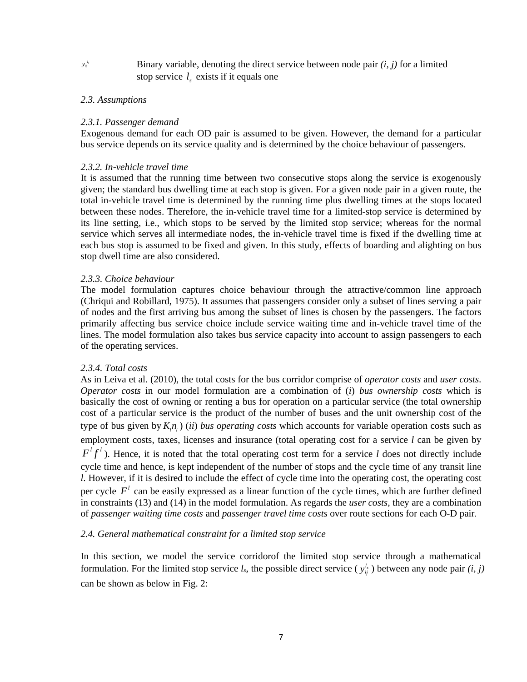$y_{ij}^{l_s}$ *Binary variable, denoting the direct service between node pair <i>(i, j)* for a limited stop service  $l<sub>s</sub>$  exists if it equals one

### *2.3. Assumptions*

### *2.3.1. Passenger demand*

Exogenous demand for each OD pair is assumed to be given. However, the demand for a particular bus service depends on its service quality and is determined by the choice behaviour of passengers.

### *2.3.2. In-vehicle travel time*

It is assumed that the running time between two consecutive stops along the service is exogenously given; the standard bus dwelling time at each stop is given. For a given node pair in a given route, the total in-vehicle travel time is determined by the running time plus dwelling times at the stops located between these nodes. Therefore, the in-vehicle travel time for a limited-stop service is determined by its line setting, i.e., which stops to be served by the limited stop service; whereas for the normal service which serves all intermediate nodes, the in-vehicle travel time is fixed if the dwelling time at each bus stop is assumed to be fixed and given. In this study, effects of boarding and alighting on bus stop dwell time are also considered.

### *2.3.3. Choice behaviour*

The model formulation captures choice behaviour through the attractive/common line approach (Chriqui and Robillard, 1975). It assumes that passengers consider only a subset of lines serving a pair of nodes and the first arriving bus among the subset of lines is chosen by the passengers. The factors primarily affecting bus service choice include service waiting time and in-vehicle travel time of the lines. The model formulation also takes bus service capacity into account to assign passengers to each of the operating services.

### *2.3.4. Total costs*

As in Leiva et al. (2010), the total costs for the bus corridor comprise of *operator costs* and *user costs*. *Operator costs* in our model formulation are a combination of (*i*) *bus ownership costs* which is basically the cost of owning or renting a bus for operation on a particular service (the total ownership cost of a particular service is the product of the number of buses and the unit ownership cost of the type of bus given by  $K_i n_i$ ) (*ii*) *bus operating costs* which accounts for variable operation costs such as employment costs, taxes, licenses and insurance (total operating cost for a service *l* can be given by  $F<sup>l</sup>f<sup>l</sup>$ ). Hence, it is noted that the total operating cost term for a service *l* does not directly include cycle time and hence, is kept independent of the number of stops and the cycle time of any transit line *l*. However, if it is desired to include the effect of cycle time into the operating cost, the operating cost per cycle  $F<sup>l</sup>$  can be easily expressed as a linear function of the cycle times, which are further defined in constraints (13) and (14) in the model formulation. As regards the *user costs*, they are a combination of *passenger waiting time costs* and *passenger travel time costs* over route sections for each O-D pair.

### *2.4. General mathematical constraint for a limited stop service*

In this section, we model the service corridorof the limited stop service through a mathematical formulation. For the limited stop service  $l_s$ , the possible direct service ( $y_{ij}^{l_s}$ ) between any node pair  $(i, j)$ can be shown as below in Fig. 2: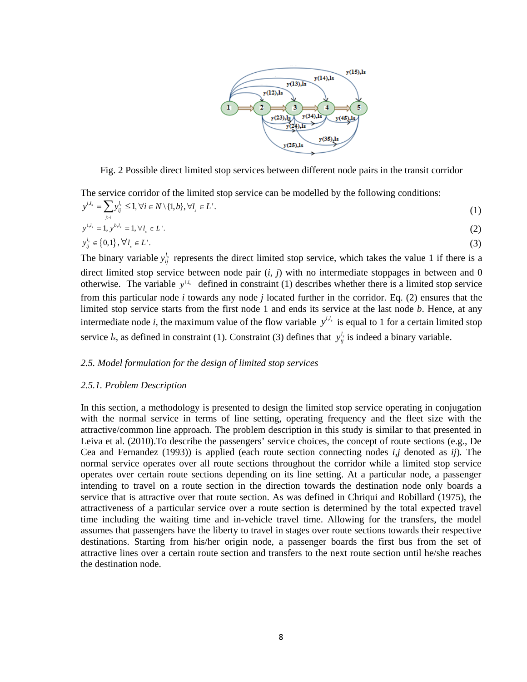

Fig. 2 Possible direct limited stop services between different node pairs in the transit corridor

The service corridor of the limited stop service can be modelled by the following conditions:  
\n
$$
y^{i,l_s} = \sum_{j>i} y_{ij}^{l_s} \le 1, \forall i \in N \setminus \{1, b\}, \forall l_s \in L'. \tag{1}
$$
\n
$$
y^{1,l_s} = 1, y^{b,l_s} = 1, \forall l_s \in L'. \tag{2}
$$

$$
y_{ij}^{l_s} \in \{0,1\}, \forall l_s \in L^{\cdot}.
$$
\n(3)

The binary variable  $y_{ij}^{l_s}$  represents the direct limited stop service, which takes the value 1 if there is a direct limited stop service between node pair (*i, j*) with no intermediate stoppages in between and 0 otherwise. The variable  $y^{i,l_s}$  defined in constraint (1) describes whether there is a limited stop service from this particular node *i* towards any node *j* located further in the corridor. Eq. (2) ensures that the limited stop service starts from the first node 1 and ends its service at the last node *b*. Hence, at any intermediate node *i*, the maximum value of the flow variable  $y^{i,l_s}$  is equal to 1 for a certain limited stop service  $l_s$ , as defined in constraint (1). Constraint (3) defines that  $y_{ij}^{l_s}$  is indeed a binary variable.

### *2.5. Model formulation for the design of limited stop services*

#### *2.5.1. Problem Description*

In this section, a methodology is presented to design the limited stop service operating in conjugation with the normal service in terms of line setting, operating frequency and the fleet size with the attractive/common line approach. The problem description in this study is similar to that presented in Leiva et al. (2010).To describe the passengers' service choices, the concept of route sections (e.g., De Cea and Fernandez (1993)) is applied (each route section connecting nodes *i,j* denoted as *ij*)*.* The normal service operates over all route sections throughout the corridor while a limited stop service operates over certain route sections depending on its line setting. At a particular node, a passenger intending to travel on a route section in the direction towards the destination node only boards a service that is attractive over that route section. As was defined in Chriqui and Robillard (1975), the attractiveness of a particular service over a route section is determined by the total expected travel time including the waiting time and in-vehicle travel time. Allowing for the transfers, the model assumes that passengers have the liberty to travel in stages over route sections towards their respective destinations. Starting from his/her origin node, a passenger boards the first bus from the set of attractive lines over a certain route section and transfers to the next route section until he/she reaches the destination node.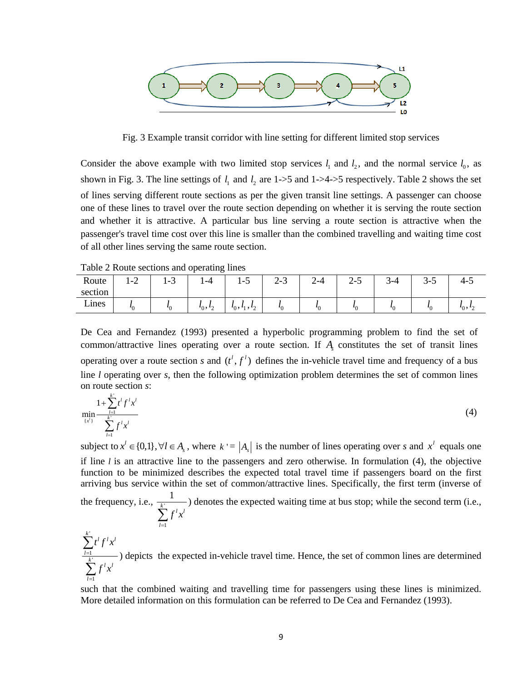

Fig. 3 Example transit corridor with line setting for different limited stop services

Consider the above example with two limited stop services  $l_1$  and  $l_2$ , and the normal service  $l_0$ , as shown in Fig. 3. The line settings of  $l_1$  and  $l_2$  are 1->5 and 1->4->5 respectively. Table 2 shows the set of lines serving different route sections as per the given transit line settings. A passenger can choose one of these lines to travel over the route section depending on whether it is serving the route section and whether it is attractive. A particular bus line serving a route section is attractive when the passenger's travel time cost over this line is smaller than the combined travelling and waiting time cost of all other lines serving the same route section.

Table 2 Route sections and operating lines

|         |                |                                         | ັ                              |                                  |                        |                       |         |          |                                 |                         |
|---------|----------------|-----------------------------------------|--------------------------------|----------------------------------|------------------------|-----------------------|---------|----------|---------------------------------|-------------------------|
| Route   | $1-2$          | $\sim$<br>$\overline{\phantom{0}}$<br>ັ | -4                             | -<br>1-J                         | $\sim$<br>⌒<br>$2 - 3$ | $\bigcap$<br>ے '<br>∼ | ر-ر     | ⌒<br>ד⊿– | $\cap$ $\vdash$<br>י-<br>ັ<br>ັ | 4-১                     |
| section |                |                                         |                                |                                  |                        |                       |         |          |                                 |                         |
| Lines   | $\iota_{\cap}$ | $\boldsymbol{\iota}$                    | $\iota_0, \iota_2$<br><u>_</u> | $\iota_0, \iota_1, \iota_2$<br>∼ | $\iota$                |                       | $\iota$ | v        |                                 | $\iota_0, \iota_2$<br>∼ |

De Cea and Fernandez (1993) presented a hyperbolic programming problem to find the set of common/attractive lines operating over a route section. If  $A<sub>s</sub>$  constitutes the set of transit lines operating over a route section *s* and  $(t^l, f^l)$  defines the in-vehicle travel time and frequency of a bus line *l* operating over *s*, then the following optimization problem determines the set of common lines on route section *s*: '

$$
\min_{\{x'\}} \frac{1 + \sum_{l=1}^{k'} t^l f^l x^l}{\sum_{l=1}^{k'} f^l x^l}
$$
\n(4)

subject to  $x^l \in \{0,1\}$ ,  $\forall l \in A_s$ , where  $k' = |A_s|$  is the number of lines operating over *s* and  $x^l$  equals one if line *l* is an attractive line to the passengers and zero otherwise. In formulation (4), the objective function to be minimized describes the expected total travel time if passengers board on the first arriving bus service within the set of common/attractive lines. Specifically, the first term (inverse of

the frequency, i.e.,  $\frac{1}{k}$ 1 1  $\sum_{l}^{k} t^{l}$ *l*  $f'x$  $\sum_{l=1}$ ) denotes the expected waiting time at bus stop; while the second term (i.e.,

1 1 *k l ll l k l l l*  $t^l f^l x$  $f'x$  $=$  $\overline{a}$  $\sum$  $\sum$ ) depicts the expected in-vehicle travel time. Hence, the set of common lines are determined

such that the combined waiting and travelling time for passengers using these lines is minimized. More detailed information on this formulation can be referred to De Cea and Fernandez (1993).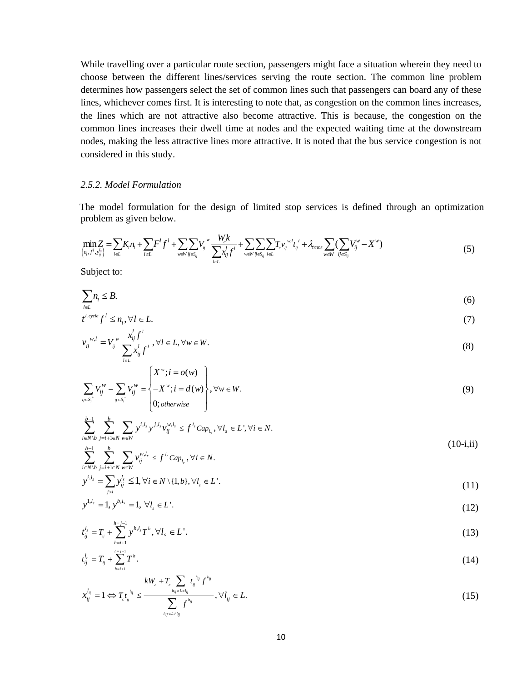While travelling over a particular route section, passengers might face a situation wherein they need to choose between the different lines/services serving the route section. The common line problem determines how passengers select the set of common lines such that passengers can board any of these lines, whichever comes first. It is interesting to note that, as congestion on the common lines increases, the lines which are not attractive also become attractive. This is because, the congestion on the common lines increases their dwell time at nodes and the expected waiting time at the downstream nodes, making the less attractive lines more attractive. It is noted that the bus service congestion is not considered in this study.

### *2.5.2. Model Formulation*

 The model formulation for the design of limited stop services is defined through an optimization problem as given below.

$$
\min_{\left\{n_i, f', y'_{ij}\right\}} = \sum_{l \in L} K_l n_l + \sum_{l \in L} F^l f^l + \sum_{w \in W} \sum_{ij \in S_{ij}} V_{ij}^w \frac{W_c k}{\sum_{l \in L} f_{ij} f^l} + \sum_{w \in W} \sum_{ij \in S_{ij}} \sum_{l \in L} T_c v_{ij}^{w,l} t_{ij}^l + \lambda_{trans} \sum_{w \in W} \sum_{ij \in S_{ij}} V_{ij}^w - X^w)
$$
\n(5)

Subject to:

$$
\sum_{l \in L} n_l \leq B. \tag{6}
$$

$$
t^{l,cycle} f^l \le n_l, \forall l \in L. \tag{7}
$$

$$
v_{ij}^{w,l} = V_{ij}^{w} \frac{x_{ij}^{l} f^{l}}{\sum_{l \in L} x_{ij}^{l} f^{l}}, \forall l \in L, \forall w \in W.
$$
\n(8)

$$
\sum_{\substack{ij \in S_i^+}} V_{ij}^w - \sum_{\substack{ij \in S_i^-}} V_{ij}^w = \begin{cases} X^w; i = o(w) \\ -X^w; i = d(w) \\ 0; \text{ otherwise} \end{cases}, \forall w \in W. \tag{9}
$$

$$
\sum_{i\in N\backslash b}^{b-1} \sum_{j=i+\text{lex }N}^{b} \sum_{w\in W} y^{i,l_s} y^{j,l_s} v_{ij}^{w,l_s} \le f^{l_s} \text{Cap}_{l_s}, \forall l_s \in L', \forall i \in N.
$$
\n
$$
\sum_{j\in J}^{b-1} \sum_{j\in J}^{b} \sum_{w\in W} v_{ij}^{w,l_r} \le f^{l_r} \text{Cap}_{l_r}, \forall i \in N.
$$
\n(10-i,ii)

$$
e^{i\epsilon N \setminus b} = \sum_{j>i} y_{ij}^{l_s} \le 1, \forall i \in N \setminus \{1, b\}, \forall l_s \in L'. \tag{11}
$$

$$
y^{1,l_s} = 1, y^{b,l_s} = 1, \forall l_s \in L'. \tag{12}
$$

$$
t_{ij}^{l_s} = T_{ij} + \sum_{h=i+1}^{h=j-1} y^{h,l_s} T^h, \forall l_s \in L'. \tag{13}
$$

$$
t_{ij}^{l_r} = T_{ij} + \sum_{h=i+1}^{h=j-1} T^h.
$$
 (14)

$$
x_{ij}^{l_{ij}} = 1 \Leftrightarrow T_c t_{ij}^{l_{ij}} \le \frac{k W_c + T_c \sum_{h_{ij} \in L \neq l_{ij}} t_{ij}^{h_{ij}} f^{k_{ij}}}{\sum_{h_{ij} \in L \neq l_{ij}} f^{h_{ij}}} , \forall l_{ij} \in L.
$$
\n(15)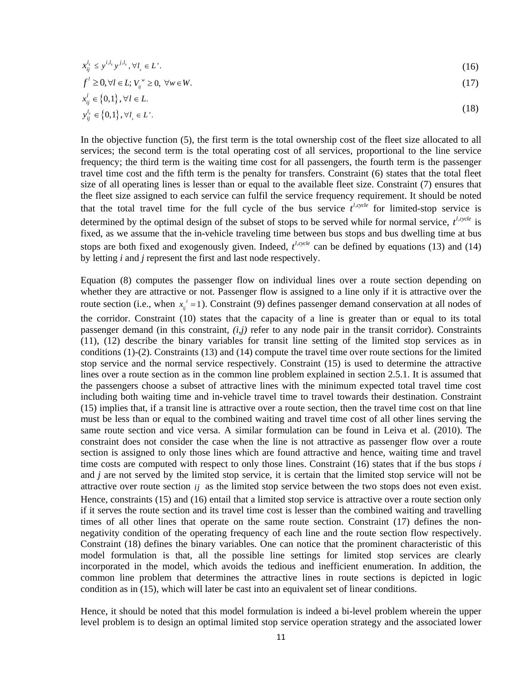$$
x_{ij}^{l_s} \le y^{i,l_s} y^{j,l_s}, \forall l_s \in L'. \tag{16}
$$
  
\n
$$
f' \ge 0, \forall l \in L; V_{ij}^* \ge 0, \forall w \in W.
$$
  
\n
$$
x_{ij}^l \in \{0,1\}, \forall l \in L. \tag{17}
$$
  
\n
$$
y_{ij}^{l_s} \in \{0,1\}, \forall l_s \in L'. \tag{18}
$$

In the objective function (5), the first term is the total ownership cost of the fleet size allocated to all services; the second term is the total operating cost of all services, proportional to the line service frequency; the third term is the waiting time cost for all passengers, the fourth term is the passenger travel time cost and the fifth term is the penalty for transfers. Constraint (6) states that the total fleet size of all operating lines is lesser than or equal to the available fleet size. Constraint (7) ensures that the fleet size assigned to each service can fulfil the service frequency requirement. It should be noted that the total travel time for the full cycle of the bus service  $t^{l,cycle}$  for limited-stop service is determined by the optimal design of the subset of stops to be served while for normal service,  $t^{l,cycle}$  is fixed, as we assume that the in-vehicle traveling time between bus stops and bus dwelling time at bus stops are both fixed and exogenously given. Indeed,  $t^{l,cycle}$  can be defined by equations (13) and (14) by letting *i* and *j* represent the first and last node respectively.

Equation (8) computes the passenger flow on individual lines over a route section depending on whether they are attractive or not. Passenger flow is assigned to a line only if it is attractive over the route section (i.e., when  $x_i^{\ d} = 1$ ). Constraint (9) defines passenger demand conservation at all nodes of the corridor. Constraint (10) states that the capacity of a line is greater than or equal to its total passenger demand (in this constraint, *(i,j)* refer to any node pair in the transit corridor). Constraints (11), (12) describe the binary variables for transit line setting of the limited stop services as in conditions (1)-(2). Constraints (13) and (14) compute the travel time over route sections for the limited stop service and the normal service respectively. Constraint (15) is used to determine the attractive lines over a route section as in the common line problem explained in section 2.5.1. It is assumed that the passengers choose a subset of attractive lines with the minimum expected total travel time cost including both waiting time and in-vehicle travel time to travel towards their destination. Constraint (15) implies that, if a transit line is attractive over a route section, then the travel time cost on that line must be less than or equal to the combined waiting and travel time cost of all other lines serving the same route section and vice versa. A similar formulation can be found in Leiva et al. (2010). The constraint does not consider the case when the line is not attractive as passenger flow over a route section is assigned to only those lines which are found attractive and hence, waiting time and travel time costs are computed with respect to only those lines. Constraint (16) states that if the bus stops *i* and *j* are not served by the limited stop service, it is certain that the limited stop service will not be attractive over route section *ij* as the limited stop service between the two stops does not even exist. Hence, constraints (15) and (16) entail that a limited stop service is attractive over a route section only if it serves the route section and its travel time cost is lesser than the combined waiting and travelling times of all other lines that operate on the same route section. Constraint (17) defines the nonnegativity condition of the operating frequency of each line and the route section flow respectively. Constraint (18) defines the binary variables. One can notice that the prominent characteristic of this model formulation is that, all the possible line settings for limited stop services are clearly incorporated in the model, which avoids the tedious and inefficient enumeration. In addition, the common line problem that determines the attractive lines in route sections is depicted in logic condition as in (15), which will later be cast into an equivalent set of linear conditions.

Hence, it should be noted that this model formulation is indeed a bi-level problem wherein the upper level problem is to design an optimal limited stop service operation strategy and the associated lower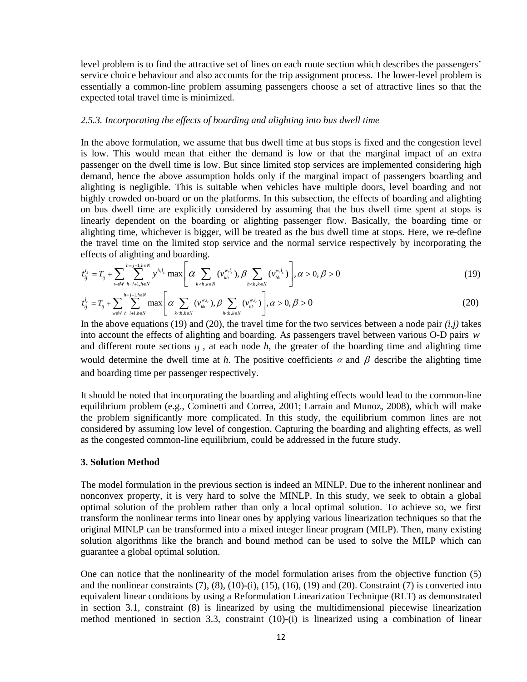level problem is to find the attractive set of lines on each route section which describes the passengers' service choice behaviour and also accounts for the trip assignment process. The lower-level problem is essentially a common-line problem assuming passengers choose a set of attractive lines so that the expected total travel time is minimized.

#### *2.5.3. Incorporating the effects of boarding and alighting into bus dwell time*

In the above formulation, we assume that bus dwell time at bus stops is fixed and the congestion level is low. This would mean that either the demand is low or that the marginal impact of an extra passenger on the dwell time is low. But since limited stop services are implemented considering high demand, hence the above assumption holds only if the marginal impact of passengers boarding and alighting is negligible. This is suitable when vehicles have multiple doors, level boarding and not highly crowded on-board or on the platforms. In this subsection, the effects of boarding and alighting on bus dwell time are explicitly considered by assuming that the bus dwell time spent at stops is linearly dependent on the boarding or alighting passenger flow. Basically, the boarding time or alighting time, whichever is bigger, will be treated as the bus dwell time at stops. Here, we re-define the travel time on the limited stop service and the normal service respectively by incorporating the effects of alighting and boarding.

$$
t_{ij}^{l_s} = T_{ij} + \sum_{w \in W} \sum_{h=i+1, h \in N}^{h=j-1, h \in N} y^{h,l_s} \max \left[ \alpha \sum_{k < h, k \in N} (v_{kh}^{w,l_s}), \beta \sum_{h < k, k \in N} (v_{hk}^{w,l_s}) \right], \alpha > 0, \beta > 0 \tag{19}
$$

$$
t_{ij}^{l_r} = T_{ij} + \sum_{w \in W} \sum_{h=i+1, h \in N} \max \left[ \alpha \sum_{k < h, k \in N} (v_{kh}^{w, l_r}), \beta \sum_{h < k, k \in N} (v_{hk}^{w, l_r}) \right], \alpha > 0, \beta > 0 \tag{20}
$$

In the above equations (19) and (20), the travel time for the two services between a node pair  $(i, j)$  takes into account the effects of alighting and boarding. As passengers travel between various O-D pairs *w* and different route sections *ij* , at each node *h*, the greater of the boarding time and alighting time would determine the dwell time at *h*. The positive coefficients  $\alpha$  and  $\beta$  describe the alighting time and boarding time per passenger respectively.

It should be noted that incorporating the boarding and alighting effects would lead to the common-line equilibrium problem (e.g., Cominetti and Correa, 2001; Larrain and Munoz, 2008), which will make the problem significantly more complicated. In this study, the equilibrium common lines are not considered by assuming low level of congestion. Capturing the boarding and alighting effects, as well as the congested common-line equilibrium, could be addressed in the future study.

#### **3. Solution Method**

The model formulation in the previous section is indeed an MINLP. Due to the inherent nonlinear and nonconvex property, it is very hard to solve the MINLP. In this study, we seek to obtain a global optimal solution of the problem rather than only a local optimal solution. To achieve so, we first transform the nonlinear terms into linear ones by applying various linearization techniques so that the original MINLP can be transformed into a mixed integer linear program (MILP). Then, many existing solution algorithms like the branch and bound method can be used to solve the MILP which can guarantee a global optimal solution.

One can notice that the nonlinearity of the model formulation arises from the objective function (5) and the nonlinear constraints  $(7)$ ,  $(8)$ ,  $(10)-(i)$ ,  $(15)$ ,  $(16)$ ,  $(19)$  and  $(20)$ . Constraint  $(7)$  is converted into equivalent linear conditions by using a Reformulation Linearization Technique (RLT) as demonstrated in section 3.1, constraint (8) is linearized by using the multidimensional piecewise linearization method mentioned in section 3.3, constraint (10)-(i) is linearized using a combination of linear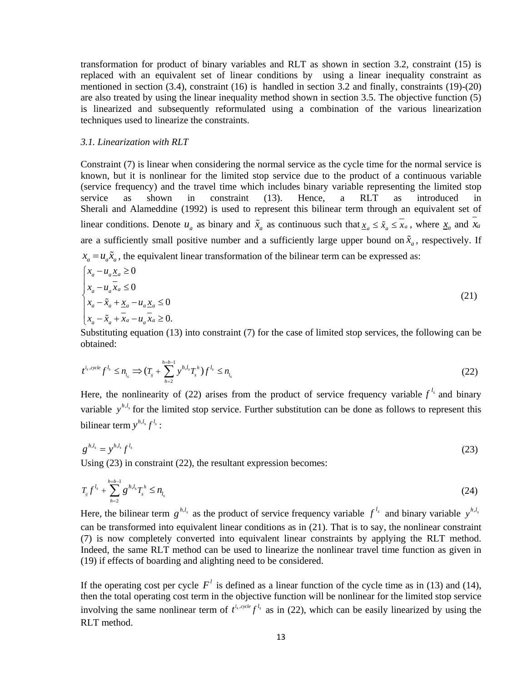transformation for product of binary variables and RLT as shown in section 3.2, constraint (15) is replaced with an equivalent set of linear conditions by using a linear inequality constraint as mentioned in section (3.4), constraint (16) is handled in section 3.2 and finally, constraints (19)-(20) are also treated by using the linear inequality method shown in section 3.5. The objective function (5) is linearized and subsequently reformulated using a combination of the various linearization techniques used to linearize the constraints.

### *3.1. Linearization with RLT*

Constraint (7) is linear when considering the normal service as the cycle time for the normal service is known, but it is nonlinear for the limited stop service due to the product of a continuous variable (service frequency) and the travel time which includes binary variable representing the limited stop service as shown in constraint (13). Hence, a RLT as introduced in Sherali and Alameddine (1992) is used to represent this bilinear term through an equivalent set of linear conditions. Denote  $u_a$  as binary and  $\tilde{x}_a$  as continuous such that  $\underline{x}_a \leq \tilde{x}_a \leq \overline{x}_a$ , where  $\underline{x}_a$  and  $\overline{x}_a$ are a sufficiently small positive number and a sufficiently large upper bound on  $\tilde{x}_a$ , respectively. If  $x = u_x \tilde{x}_x$ , the equivalent linear transformation of the bilinear term can be expressed as:

$$
\begin{cases}\n x_a - u_a \underline{x}_a \ge 0 \\
 x_a - u_a \overline{x}_a \le 0 \\
 x_a - \tilde{x}_a + \underline{x}_a - u_a \underline{x}_a \le 0\n\end{cases}
$$
\n(21)

 $\overline{x}_a - \overline{x}_a + \overline{x}_a - \overline{x}_a \ge 0.$ 

Substituting equation (13) into constraint (7) for the case of limited stop services, the following can be obtained:

$$
t^{l_s,cycle} f^{l_s} \le n_{l_s} \implies (T_{ij} + \sum_{h=2}^{h=b-1} y^{h,l_s} T_j^h) f^{l_s} \le n_{l_s}
$$
\n(22)

Here, the nonlinearity of (22) arises from the product of service frequency variable  $f^{l_s}$  and binary variable  $y^{h,l_s}$  for the limited stop service. Further substitution can be done as follows to represent this bilinear term  $y^{h,l_s} f^{l_s}$ :

$$
g^{h,l_s} = y^{h,l_s} f^{l_s} \tag{23}
$$

Using (23) in constraint (22), the resultant expression becomes:

$$
T_{ij}f^{l_s} + \sum_{h=2}^{h=b-1} g^{h,l_s} T_j^h \le n_{l_s}
$$
 (24)

Here, the bilinear term  $g^{h,l_s}$  as the product of service frequency variable  $f^{l_s}$  and binary variable  $y^{h,l_s}$ can be transformed into equivalent linear conditions as in (21). That is to say, the nonlinear constraint (7) is now completely converted into equivalent linear constraints by applying the RLT method. Indeed, the same RLT method can be used to linearize the nonlinear travel time function as given in (19) if effects of boarding and alighting need to be considered.

If the operating cost per cycle  $F<sup>l</sup>$  is defined as a linear function of the cycle time as in (13) and (14), then the total operating cost term in the objective function will be nonlinear for the limited stop service involving the same nonlinear term of  $t^{l_s, cycle} f^{l_s}$  as in (22), which can be easily linearized by using the RLT method.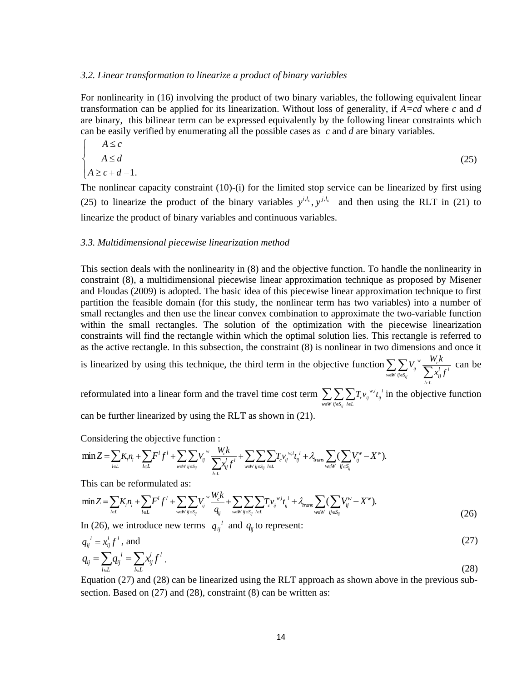#### *3.2. Linear transformation to linearize a product of binary variables*

For nonlinearity in (16) involving the product of two binary variables, the following equivalent linear transformation can be applied for its linearization. Without loss of generality, if *A=cd* where *c* and *d* are binary, this bilinear term can be expressed equivalently by the following linear constraints which can be easily verified by enumerating all the possible cases as *c* and *d* are binary variables.

$$
\begin{cases}\nA \le c \\
A \le d \\
A \ge c + d - 1.\n\end{cases} (25)
$$

The nonlinear capacity constraint (10)-(i) for the limited stop service can be linearized by first using (25) to linearize the product of the binary variables  $y^{i,l_s}$ ,  $y^{j,l_s}$  and then using the RLT in (21) to linearize the product of binary variables and continuous variables.

#### *3.3. Multidimensional piecewise linearization method*

This section deals with the nonlinearity in (8) and the objective function. To handle the nonlinearity in constraint (8), a multidimensional piecewise linear approximation technique as proposed by Misener and Floudas (2009) is adopted. The basic idea of this piecewise linear approximation technique to first partition the feasible domain (for this study, the nonlinear term has two variables) into a number of small rectangles and then use the linear convex combination to approximate the two-variable function within the small rectangles. The solution of the optimization with the piecewise linearization constraints will find the rectangle within which the optimal solution lies. This rectangle is referred to as the active rectangle. In this subsection, the constraint (8) is nonlinear in two dimensions and once it

is linearized by using this technique, the third term in the objective function *ij*  $\sum_{w \in W} \sum_{ij \in S_{ii}} V_j^w \frac{W_c K}{\displaystyle \sum x_{ii}^l f^l}$ *l L l ij*  $V_i^w = \frac{W_c k}{\sum_{l=1}^{k}}$  $\sum_{y \in W} \sum_{ij \in S_{ij}}$  *y*  $\sum_{i} x_{ij}^l f$  $\sum_{w \in W} \sum_{ij \in S_{ij}} V_{ij}^w \frac{W_c K}{\sum_{l \in L} x_{ij}^l f^l}$  can be

reformulated into a linear form and the travel time cost term  $\sum \sum \sum T_{\nu} v_{ij}^{W_{ij}}$ *ij wl l*  $\sum_{w \in W} \sum_{ij \in S_{ij}} \sum_{l \in L} c^{\nu} v_{ij}^{\nu}$  *v*  $T_c v_{ii}^{w,l} t$  $\sum_{w \in W} \sum_{ij \in S_{ii}} \sum_{l \in L} T_c v_{ij}^{w,l} t_{ij}^{l}$  in the objective function

can be further linearized by using the RLT as shown in (21).

Considering the objective function :

$$
\min Z = \sum_{l \in L} K_l n_l + \sum_{l \in L} F^l f^{l} + \sum_{w \in W} \sum_{ij \in S_{ij}} V_{ij}^{w} \frac{W_c k}{\sum_{l \in L} x_{ij}^l f^{l}} + \sum_{w \in W} \sum_{ij \in S_{ij}} \sum_{l \in L} T_c v_{ij}^{w,l} t_{ij}^{l} + \lambda_{trans} \sum_{w \in W} (\sum_{ij \in S_{ij}} V_{ij}^{w} - X^{w}).
$$

This can be reformulated as:

$$
\min Z = \sum_{l \in L} K_l n_l + \sum_{l \in L} F^l f^l + \sum_{w \in W} \sum_{ij \in S_{ij}} V_{ij}^w \frac{W_c k}{q_{ij}} + \sum_{w \in W} \sum_{ij \in S_{ij}} \sum_{l \in L} T_c v_{ij}^{w,l} t_{ij}^l + \lambda_{trans} \sum_{w \in W} (\sum_{ij \in S_{ij}} V_{ij}^w - X^w).
$$
\n(26)

In (26), we introduce new terms  $q_{ij}^l$  and  $q_{ij}$  to represent:

$$
q_{ij}^l = x_{ij}^l f^l
$$
, and  

$$
q_i = \sum_{l} x_{ij}^l f^l = \sum_{l} x_{il}^l f^l
$$
 (27)

$$
q_{ij} = \sum_{l \in L} q_{ij}^{l} = \sum_{l \in L} x_{ij}^{l} f^{l}.
$$
\n(28)

Equation (27) and (28) can be linearized using the RLT approach as shown above in the previous subsection. Based on  $(27)$  and  $(28)$ , constraint  $(8)$  can be written as: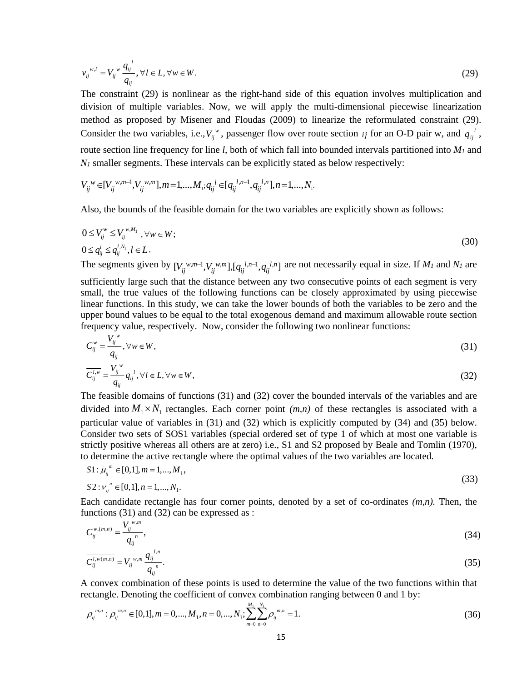$$
v_{ij}^{w,l} = V_{ij}^{w} \frac{q_{ij}^{l}}{q_{ij}}, \forall l \in L, \forall w \in W.
$$
 (29)

The constraint (29) is nonlinear as the right-hand side of this equation involves multiplication and division of multiple variables. Now, we will apply the multi-dimensional piecewise linearization method as proposed by Misener and Floudas (2009) to linearize the reformulated constraint (29). Consider the two variables, i.e.,  $V_{ij}^{\nu}$ , passenger flow over route section *ij* for an O-D pair w, and  $q_{ij}^{\phantom{ij}l}$ , route section line frequency for line *l*, both of which fall into bounded intervals partitioned into  $M<sub>1</sub>$  and *N<sub>1</sub>* smaller segments. These intervals can be explicitly stated as below respectively:

$$
V_{ij}^{\ w} \in [V_{ij}^{\ w,m-1},V_{ij}^{\ w,m}], m=1,\dots,M_i; q_{ij}^{\ l} \in [q_{ij}^{\ l,n-1},q_{ij}^{\ l,n}], n=1,\dots,N_i.
$$

*ij*

Also, the bounds of the feasible domain for the two variables are explicitly shown as follows:

$$
0 \le V_{ij}^W \le V_{ij}^{w,M_1}, \forall w \in W; 0 \le q_{ij}^l \le q_{ij}^{l,N_1}, l \in L.
$$
 (30)

The segments given by  $[V_{ij}^{w,m-1}, V_{ij}^{w,m}], [q_{ij}^{l,n-1}, q_{ij}^{l,n}]$  are not necessarily equal in size. If  $M_l$  and  $N_l$  are sufficiently large such that the distance between any two consecutive points of each segment is very small, the true values of the following functions can be closely approximated by using piecewise linear functions. In this study, we can take the lower bounds of both the variables to be zero and the upper bound values to be equal to the total exogenous demand and maximum allowable route section frequency value, respectively. Now, consider the following two nonlinear functions:

$$
C_{ij}^{w} = \frac{V_{ij}^{w}}{q_{ij}}, \forall w \in W,
$$
  
\n
$$
\overline{C_{ij}^{l,w}} = \frac{V_{ij}^{w}}{q_{ij}} q_{ij}^{l}, \forall l \in L, \forall w \in W,
$$
\n(32)

The feasible domains of functions (31) and (32) cover the bounded intervals of the variables and are divided into  $M_1 \times N_1$  rectangles. Each corner point *(m,n)* of these rectangles is associated with a particular value of variables in (31) and (32) which is explicitly computed by (34) and (35) below. Consider two sets of SOS1 variables (special ordered set of type 1 of which at most one variable is strictly positive whereas all others are at zero) i.e., S1 and S2 proposed by Beale and Tomlin (1970), to determine the active rectangle where the optimal values of the two variables are located.

$$
S1: \mu_{ij}^m \in [0,1], m = 1, \dots, M_1,
$$
\n(33)

$$
S2: \nu_{ij}^n \in [0,1], n = 1, ..., N_1.
$$

Each candidate rectangle has four corner points, denoted by a set of co-ordinates *(m,n).* Then, the functions  $(31)$  and  $(32)$  can be expressed as :

$$
C_{ij}^{w,(m,n)} = \frac{V_{ij}^{w,m}}{q_{ij}^{n}},
$$
\n(34)

$$
\overline{C_{ij}^{l,w(m,n)}} = V_{ij}^{w,m} \frac{q_{ij}^{l,n}}{q_{ij}^{n}}.
$$
\n(35)

A convex combination of these points is used to determine the value of the two functions within that rectangle. Denoting the coefficient of convex combination ranging between 0 and 1 by:

$$
\rho_{ij}^{m,n} : \rho_{ij}^{m,n} \in [0,1], m = 0,...,M_1, n = 0,...,N_1; \sum_{m=0}^{M_1} \sum_{n=0}^{N_1} \rho_{ij}^{m,n} = 1.
$$
\n(36)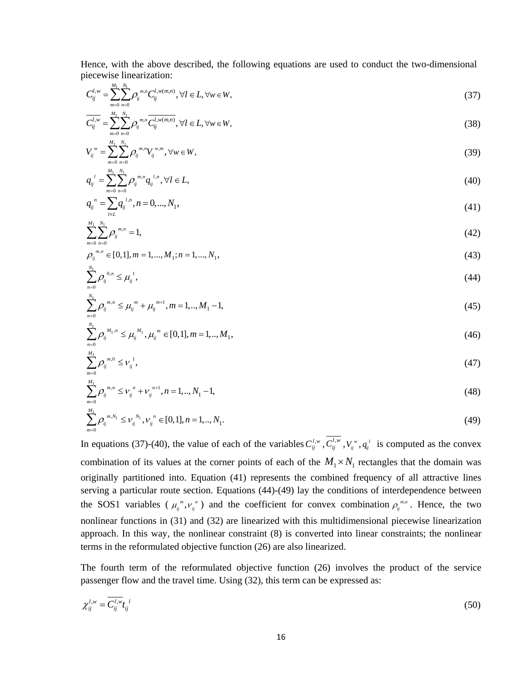Hence, with the above described, the following equations are used to conduct the two-dimensional piecewise linearization:

$$
C_{ij}^{l,w} = \sum_{m=0}^{M_1} \sum_{n=0}^{N_1} \rho_{ij}^{m,n} C_{ij}^{l,w(m,n)}, \forall l \in L, \forall w \in W,
$$
\n(37)

$$
\overline{C_{ij}^{l,w}} = \sum_{m=0}^{M_1} \sum_{n=0}^{N_1} \rho_{ij}^{m,n} \overline{C_{ij}^{l,w(m,n)}}, \forall l \in L, \forall w \in W,
$$
\n(38)

$$
V_{ij}^{\ w} = \sum_{m=0}^{M_1} \sum_{n=0}^{N_1} \rho_{ij}^{\ m,n} V_{ij}^{\ w,m}, \forall w \in W,
$$
\n(39)

$$
q_{ij}^{l} = \sum_{m=0}^{M_1} \sum_{n=0}^{N_1} \rho_{ij}^{m,n} q_{ij}^{l,n}, \forall l \in L,
$$
\n(40)

$$
q_{ij}^{\ n} = \sum_{l \in L} q_{ij}^{\ l, n}, n = 0, \dots, N_1,\tag{41}
$$

$$
\sum_{m=0}^{M_1}\sum_{n=0}^{N_1}\rho_{ij}^{m,n}=1,\tag{42}
$$

 $\rho_{ij}^{m,n} \in [0,1], m = 1, ..., M_1; n = 1, ..., N_1,$  (43)

$$
\sum_{n=0}^{N_1} \rho_{ij}^{0,n} \le \mu_{ij}^{-1},\tag{44}
$$

$$
\sum_{n=0}^{N_1} \rho_{ij}^{m,n} \le \mu_{ij}^{m} + \mu_{ij}^{m+1}, m = 1, ..., M_1 - 1,
$$
\n(45)

$$
\sum_{n=0}^{N_1} \rho_{ij}^{M_1, n} \le \mu_{ij}^{M_1}, \mu_{ij}^{m} \in [0, 1], m = 1, ..., M_1,
$$
\n(46)

$$
\sum_{m=0}^{M_1} \rho_{ij}^{m,0} \leq \nu_{ij}^{-1},\tag{47}
$$

$$
\sum_{m=0}^{M_1} \rho_{ij}^{m,n} \leq \nu_{ij}^{n} + \nu_{ij}^{n+1}, n = 1, ..., N_1 - 1,
$$
\n(48)

$$
\sum_{m=0}^{M_1} \rho_{ij}^{m, N_1} \le \nu_{ij}^{N_1}, \nu_{ij}^{n} \in [0, 1], n = 1, ..., N_1.
$$
\n(49)

In equations (37)-(40), the value of each of the variables  $C_{ij}^{l,w}$ ,  $C_{ij}^{l,w}$ ,  $V_{ij}^w$ ,  $q_{ij}^l$  is computed as the convex combination of its values at the corner points of each of the  $M_1 \times N_1$  rectangles that the domain was originally partitioned into. Equation (41) represents the combined frequency of all attractive lines serving a particular route section. Equations (44)-(49) lay the conditions of interdependence between the SOS1 variables ( $\mu_{ij}^m$ ,  $\nu_{ij}^n$ ) and the coefficient for convex combination  $\rho_{ij}^{m,n}$ . Hence, the two nonlinear functions in (31) and (32) are linearized with this multidimensional piecewise linearization approach. In this way, the nonlinear constraint (8) is converted into linear constraints; the nonlinear terms in the reformulated objective function (26) are also linearized.

The fourth term of the reformulated objective function (26) involves the product of the service passenger flow and the travel time. Using (32), this term can be expressed as:

$$
\chi_{ij}^{l,w} = \overline{C_{ij}^{l,w}} t_{ij}^{l}
$$
 (50)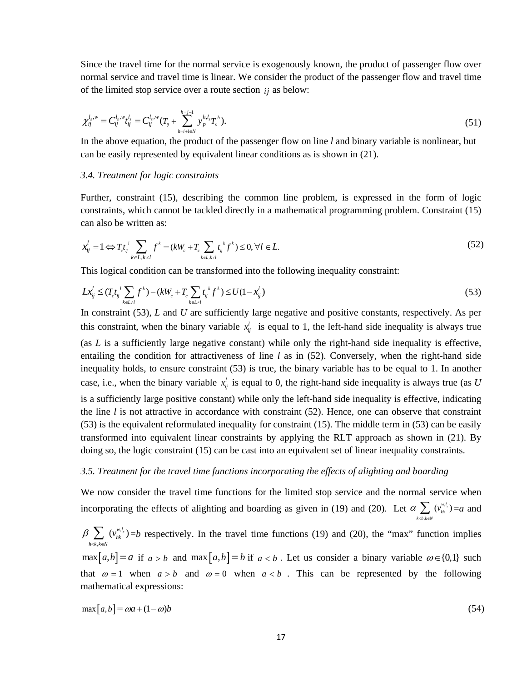Since the travel time for the normal service is exogenously known, the product of passenger flow over normal service and travel time is linear. We consider the product of the passenger flow and travel time of the limited stop service over a route section *ij* as below:

$$
\chi_{ij}^{l_s,w} = \overline{C_{ij}^{l_s,w}} t_{ij}^{l_s} = \overline{C_{ij}^{l_s,w}} (T_{ij} + \sum_{h=i+1 \in N}^{h=j-1} y_p^{h,l_s} T_i^{h}). \tag{51}
$$

In the above equation, the product of the passenger flow on line *l* and binary variable is nonlinear, but can be easily represented by equivalent linear conditions as is shown in (21).

### *3.4. Treatment for logic constraints*

Further, constraint (15), describing the common line problem, is expressed in the form of logic constraints, which cannot be tackled directly in a mathematical programming problem. Constraint (15) can also be written as:

$$
x_{ij}^l = 1 \Longleftrightarrow T_c t_{ij}^l \sum_{k \in L, k \neq l} f^k - (kW_c + T_c \sum_{k \in L, k \neq l} t_{ij}^k f^k) \le 0, \forall l \in L. \tag{52}
$$

This logical condition can be transformed into the following inequality constraint:

$$
Lx_{ij}^{l} \leq (T_{c}t_{ij}^{l} \sum_{k \in L \neq l} f^{k}) - (kW_{c} + T_{c} \sum_{k \in L \neq l} t_{ij}^{k} f^{k}) \leq U(1 - x_{ij}^{l})
$$
\n(53)

In constraint (53), *L* and *U* are sufficiently large negative and positive constants, respectively. As per this constraint, when the binary variable  $x_{ij}^l$  is equal to 1, the left-hand side inequality is always true (as *L* is a sufficiently large negative constant) while only the right-hand side inequality is effective, entailing the condition for attractiveness of line *l* as in (52). Conversely, when the right-hand side inequality holds, to ensure constraint (53) is true, the binary variable has to be equal to 1. In another case, i.e., when the binary variable  $x_{ij}^l$  is equal to 0, the right-hand side inequality is always true (as *U* 

is a sufficiently large positive constant) while only the left-hand side inequality is effective, indicating the line *l* is not attractive in accordance with constraint (52). Hence, one can observe that constraint (53) is the equivalent reformulated inequality for constraint (15). The middle term in (53) can be easily transformed into equivalent linear constraints by applying the RLT approach as shown in (21). By doing so, the logic constraint (15) can be cast into an equivalent set of linear inequality constraints.

### *3.5. Treatment for the travel time functions incorporating the effects of alighting and boarding*

We now consider the travel time functions for the limited stop service and the normal service when incorporating the effects of alighting and boarding as given in (19) and (20). Let  $\alpha \sum_{k} (v_{ik}^{w})$ ,  $\sum_{k < h, k \in N} (v_{kh}^{\scriptscriptstyle{w, l_s}})$  $\alpha$   $\sum$  (v  $\sum_{\langle h,k \in N} (v_{\scriptscriptstyle kh}^{\scriptscriptstyle w,l_{\scriptscriptstyle s}}) = a$  and

, ,  $(v^{w, l_r}_{hk})$ *h kk N*  $\beta$   $\sum$  (v  $\sum_{k,k\in\mathbb{N}} (v_{ik}^{w,l})=b$  respectively. In the travel time functions (19) and (20), the "max" function implies  $\max[a,b] = a$  if  $a > b$  and  $\max[a,b] = b$  if  $a < b$ . Let us consider a binary variable  $\omega \in \{0,1\}$  such that  $\omega = 1$  when  $a > b$  and  $\omega = 0$  when  $a < b$ . This can be represented by the following mathematical expressions:

$$
\max[a,b] = \omega a + (1-\omega)b \tag{54}
$$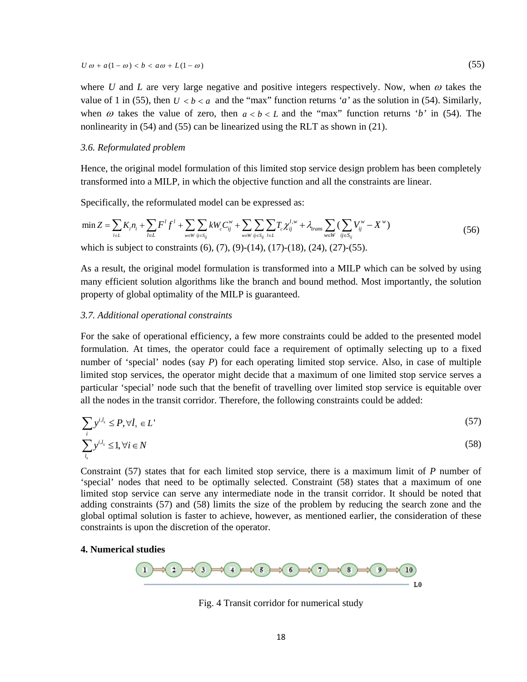$U \omega + a(1 - \omega) < b < a\omega + L(1 - \omega)$  (55)

where *U* and *L* are very large negative and positive integers respectively. Now, when  $\omega$  takes the value of 1 in (55), then  $U < b < a$  and the "max" function returns 'a' as the solution in (54). Similarly, when  $\omega$  takes the value of zero, then  $a < b < L$  and the "max" function returns '*b*' in (54). The nonlinearity in (54) and (55) can be linearized using the RLT as shown in (21).

#### *3.6. Reformulated problem*

Hence, the original model formulation of this limited stop service design problem has been completely transformed into a MILP, in which the objective function and all the constraints are linear.

Specifically, the reformulated model can be expressed as:

$$
\min Z = \sum_{l \in L} K_l n_l + \sum_{l \in L} F^l f^l + \sum_{w \in W} \sum_{ij \in S_{ij}} k W_c C_{ij}^w + \sum_{w \in W} \sum_{ij \in S_{ij}} \sum_{l \in L} T_c \chi_{ij}^{l,w} + \lambda_{trans} \sum_{w \in W} (\sum_{ij \in S_{ij}} V_{ij}^w - X^w)
$$
(56)

which is subject to constraints (6), (7), (9)-(14), (17)-(18), (24), (27)-(55).

As a result, the original model formulation is transformed into a MILP which can be solved by using many efficient solution algorithms like the branch and bound method. Most importantly, the solution property of global optimality of the MILP is guaranteed.

#### *3.7. Additional operational constraints*

For the sake of operational efficiency, a few more constraints could be added to the presented model formulation. At times, the operator could face a requirement of optimally selecting up to a fixed number of 'special' nodes (say *P*) for each operating limited stop service. Also, in case of multiple limited stop services, the operator might decide that a maximum of one limited stop service serves a particular 'special' node such that the benefit of travelling over limited stop service is equitable over all the nodes in the transit corridor. Therefore, the following constraints could be added:

$$
\sum y^{i,l_s} \le P, \forall l_s \in L' \tag{57}
$$

$$
\sum_{l_s}^{i} y^{i,l_s} \le 1, \forall i \in N
$$
\n
$$
(58)
$$

Constraint (57) states that for each limited stop service, there is a maximum limit of *P* number of 'special' nodes that need to be optimally selected. Constraint (58) states that a maximum of one limited stop service can serve any intermediate node in the transit corridor. It should be noted that adding constraints (57) and (58) limits the size of the problem by reducing the search zone and the global optimal solution is faster to achieve, however, as mentioned earlier, the consideration of these constraints is upon the discretion of the operator.

### **4. Numerical studies**



Fig. 4 Transit corridor for numerical study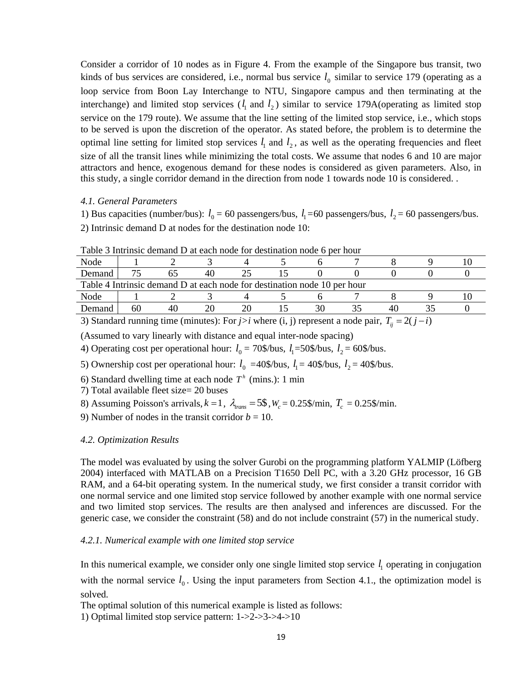Consider a corridor of 10 nodes as in Figure 4. From the example of the Singapore bus transit, two kinds of bus services are considered, i.e., normal bus service  $l_0$  similar to service 179 (operating as a loop service from Boon Lay Interchange to NTU, Singapore campus and then terminating at the interchange) and limited stop services  $(l_1 \text{ and } l_2)$  similar to service 179A(operating as limited stop service on the 179 route). We assume that the line setting of the limited stop service, i.e., which stops to be served is upon the discretion of the operator. As stated before, the problem is to determine the optimal line setting for limited stop services  $l_1$  and  $l_2$ , as well as the operating frequencies and fleet size of all the transit lines while minimizing the total costs. We assume that nodes 6 and 10 are major attractors and hence, exogenous demand for these nodes is considered as given parameters. Also, in this study, a single corridor demand in the direction from node 1 towards node 10 is considered. .

#### *4.1. General Parameters*

1) Bus capacities (number/bus):  $l_0 = 60$  passengers/bus,  $l_1 = 60$  passengers/bus,  $l_2 = 60$  passengers/bus. 2) Intrinsic demand D at nodes for the destination node 10:

| Tuote o mumbre aemana D'ar each houe for aeomaindh houe o per hoar |                                                                          |  |    |  |  |  |  |  |  |  |
|--------------------------------------------------------------------|--------------------------------------------------------------------------|--|----|--|--|--|--|--|--|--|
| Node                                                               |                                                                          |  |    |  |  |  |  |  |  |  |
| Demand                                                             |                                                                          |  | 40 |  |  |  |  |  |  |  |
|                                                                    | Table 4 Intrinsic demand D at each node for destination node 10 per hour |  |    |  |  |  |  |  |  |  |
| Node                                                               |                                                                          |  |    |  |  |  |  |  |  |  |
| Demand                                                             | 60                                                                       |  |    |  |  |  |  |  |  |  |

Table 3 Intrinsic demand D at each node for destination node 6 per hour

3) Standard running time (minutes): For  $j>i$  where (i, j) represent a node pair,  $T_{ij} = 2(j - i)$ 

(Assumed to vary linearly with distance and equal inter-node spacing)

4) Operating cost per operational hour:  $l_0 = 70\frac{5}{b}$ us,  $l_1 = 50\frac{5}{b}$ us,  $l_2 = 60\frac{5}{b}$ us.

5) Ownership cost per operational hour:  $l_0$  =40\$/bus,  $l_1$  = 40\$/bus,  $l_2$  = 40\$/bus.

6) Standard dwelling time at each node  $T<sup>h</sup>$  (mins.): 1 min

7) Total available fleet size= 20 buses

8) Assuming Poisson's arrivals,  $k = 1$ ,  $\lambda_{trans} = 5\$ ,  $W_c = 0.25\frac{m}{m}$ ,  $T_c = 0.25\frac{m}{m}$ .

9) Number of nodes in the transit corridor  $b = 10$ .

### *4.2. Optimization Results*

The model was evaluated by using the solver Gurobi on the programming platform YALMIP (Löfberg 2004) interfaced with MATLAB on a Precision T1650 Dell PC, with a 3.20 GHz processor, 16 GB RAM, and a 64-bit operating system. In the numerical study, we first consider a transit corridor with one normal service and one limited stop service followed by another example with one normal service and two limited stop services. The results are then analysed and inferences are discussed. For the generic case, we consider the constraint (58) and do not include constraint (57) in the numerical study.

### *4.2.1. Numerical example with one limited stop service*

In this numerical example, we consider only one single limited stop service  $l_1$  operating in conjugation with the normal service  $l_0$ . Using the input parameters from Section 4.1., the optimization model is solved.

The optimal solution of this numerical example is listed as follows:

1) Optimal limited stop service pattern: 1->2->3->4->10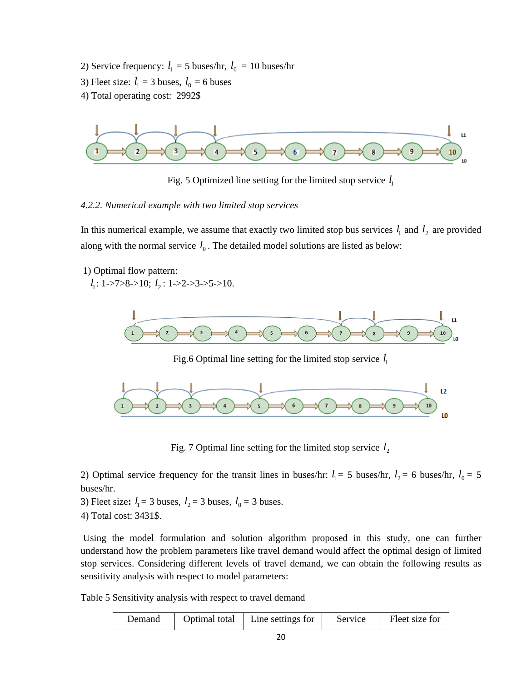2) Service frequency:  $l_1 = 5$  buses/hr,  $l_0 = 10$  buses/hr

- 3) Fleet size:  $l_1 = 3$  buses,  $l_0 = 6$  buses
- 4) Total operating cost: 2992\$



Fig. 5 Optimized line setting for the limited stop service  $l_1$ 

# *4.2.2. Numerical example with two limited stop services*

In this numerical example, we assume that exactly two limited stop bus services  $l_1$  and  $l_2$  are provided along with the normal service  $l_0$ . The detailed model solutions are listed as below:

1) Optimal flow pattern:

 $l_1$ : 1->7>8->10;  $l_2$ : 1->2->3->5->10.



Fig.6 Optimal line setting for the limited stop service  $l_1$ 



Fig. 7 Optimal line setting for the limited stop service  $l_2$ 

2) Optimal service frequency for the transit lines in buses/hr:  $l_1 = 5$  buses/hr,  $l_2 = 6$  buses/hr,  $l_0 = 5$ buses/hr.

3) Fleet size:  $l_1 = 3$  buses,  $l_2 = 3$  buses,  $l_0 = 3$  buses.

4) Total cost: 3431\$.

 Using the model formulation and solution algorithm proposed in this study, one can further understand how the problem parameters like travel demand would affect the optimal design of limited stop services. Considering different levels of travel demand, we can obtain the following results as sensitivity analysis with respect to model parameters:

Table 5 Sensitivity analysis with respect to travel demand

| Demand |  | Optimal total   Line settings for | Service | Fleet size for |
|--------|--|-----------------------------------|---------|----------------|
|--------|--|-----------------------------------|---------|----------------|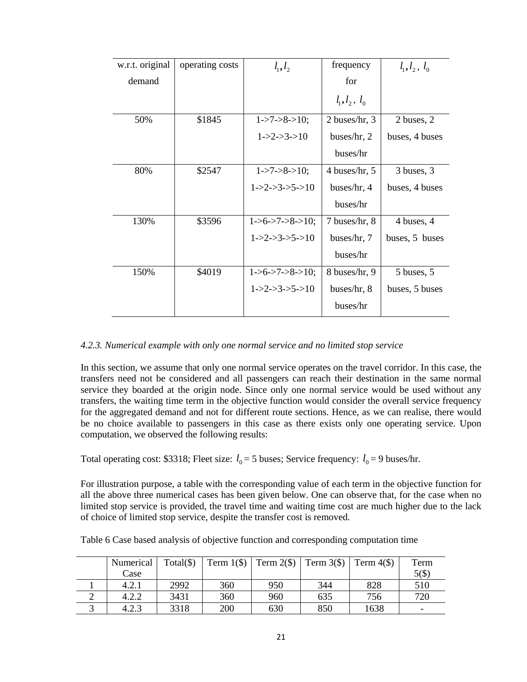| w.r.t. original | operating costs | $l_1, l_2$               | frequency         | $l_1, l_2, l_0$ |
|-----------------|-----------------|--------------------------|-------------------|-----------------|
| demand          |                 |                          | for               |                 |
|                 |                 |                          | $l_1, l_2, l_0$   |                 |
| 50%             | \$1845          | $1 - 57 - 8 - 10$ ;      | 2 buses/hr, 3     | 2 buses, 2      |
|                 |                 | $1 - 2 - 3 - 10$         | buses/hr, 2       | buses, 4 buses  |
|                 |                 |                          | buses/hr          |                 |
| 80%             | \$2547          | $1 - > 7 - > 8 - > 10$ ; | 4 buses/hr, 5     | 3 buses, 3      |
|                 |                 | $1 - 2 - 3 - 5 - 10$     | buses/hr, 4       | buses, 4 buses  |
|                 |                 |                          | buses/hr          |                 |
| 130%            | \$3596          | $1 - 5 - 7 - 8 - 10$ ;   | $7$ buses/hr, $8$ | 4 buses, 4      |
|                 |                 | $1 - 2 - 3 - 5 - 10$     | buses/hr, 7       | buses, 5 buses  |
|                 |                 |                          | buses/hr          |                 |
| 150%            | \$4019          | $1 - 5 - 7 - 8 - 10$ ;   | 8 buses/hr, 9     | 5 buses, 5      |
|                 |                 | $1 - 2 - 3 - 5 - 10$     | buses/hr, 8       | buses, 5 buses  |
|                 |                 |                          | buses/hr          |                 |

# *4.2.3. Numerical example with only one normal service and no limited stop service*

In this section, we assume that only one normal service operates on the travel corridor. In this case, the transfers need not be considered and all passengers can reach their destination in the same normal service they boarded at the origin node. Since only one normal service would be used without any transfers, the waiting time term in the objective function would consider the overall service frequency for the aggregated demand and not for different route sections. Hence, as we can realise, there would be no choice available to passengers in this case as there exists only one operating service. Upon computation, we observed the following results:

Total operating cost: \$3318; Fleet size:  $l_0 = 5$  buses; Service frequency:  $l_0 = 9$  buses/hr.

For illustration purpose, a table with the corresponding value of each term in the objective function for all the above three numerical cases has been given below. One can observe that, for the case when no limited stop service is provided, the travel time and waiting time cost are much higher due to the lack of choice of limited stop service, despite the transfer cost is removed.

| Numerical | $Total(\$)$ |     |     | Term 1(\$)   Term 2(\$)   Term 3(\$) | Term $4(\$)$ | Term     |
|-----------|-------------|-----|-----|--------------------------------------|--------------|----------|
| Case      |             |     |     |                                      |              | $5($ \$) |
| 4.2.1     | 2992        | 360 | 950 | 344                                  | 828          | 510      |
| 4.2.2     | 3431        | 360 | 960 | 635                                  | 756          | 720      |
| 4.2.3     | 3318        | 200 | 630 | 850                                  | 1638         | $\sim$   |

Table 6 Case based analysis of objective function and corresponding computation time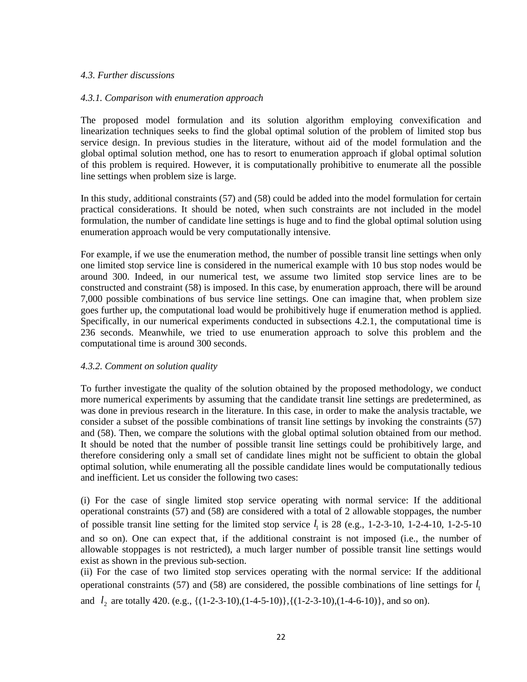# *4.3. Further discussions*

# *4.3.1. Comparison with enumeration approach*

The proposed model formulation and its solution algorithm employing convexification and linearization techniques seeks to find the global optimal solution of the problem of limited stop bus service design. In previous studies in the literature, without aid of the model formulation and the global optimal solution method, one has to resort to enumeration approach if global optimal solution of this problem is required. However, it is computationally prohibitive to enumerate all the possible line settings when problem size is large.

In this study, additional constraints (57) and (58) could be added into the model formulation for certain practical considerations. It should be noted, when such constraints are not included in the model formulation, the number of candidate line settings is huge and to find the global optimal solution using enumeration approach would be very computationally intensive.

For example, if we use the enumeration method, the number of possible transit line settings when only one limited stop service line is considered in the numerical example with 10 bus stop nodes would be around 300. Indeed, in our numerical test, we assume two limited stop service lines are to be constructed and constraint (58) is imposed. In this case, by enumeration approach, there will be around 7,000 possible combinations of bus service line settings. One can imagine that, when problem size goes further up, the computational load would be prohibitively huge if enumeration method is applied. Specifically, in our numerical experiments conducted in subsections 4.2.1, the computational time is 236 seconds. Meanwhile, we tried to use enumeration approach to solve this problem and the computational time is around 300 seconds.

# *4.3.2. Comment on solution quality*

To further investigate the quality of the solution obtained by the proposed methodology, we conduct more numerical experiments by assuming that the candidate transit line settings are predetermined, as was done in previous research in the literature. In this case, in order to make the analysis tractable, we consider a subset of the possible combinations of transit line settings by invoking the constraints (57) and (58). Then, we compare the solutions with the global optimal solution obtained from our method. It should be noted that the number of possible transit line settings could be prohibitively large, and therefore considering only a small set of candidate lines might not be sufficient to obtain the global optimal solution, while enumerating all the possible candidate lines would be computationally tedious and inefficient. Let us consider the following two cases:

(i) For the case of single limited stop service operating with normal service: If the additional operational constraints (57) and (58) are considered with a total of 2 allowable stoppages, the number of possible transit line setting for the limited stop service  $l_1$  is 28 (e.g., 1-2-3-10, 1-2-4-10, 1-2-5-10 and so on). One can expect that, if the additional constraint is not imposed (i.e., the number of allowable stoppages is not restricted), a much larger number of possible transit line settings would exist as shown in the previous sub-section.

(ii) For the case of two limited stop services operating with the normal service: If the additional operational constraints (57) and (58) are considered, the possible combinations of line settings for  $l_1$ and  $l_2$  are totally 420. (e.g., {(1-2-3-10),(1-4-5-10)},{(1-2-3-10),(1-4-6-10)}, and so on).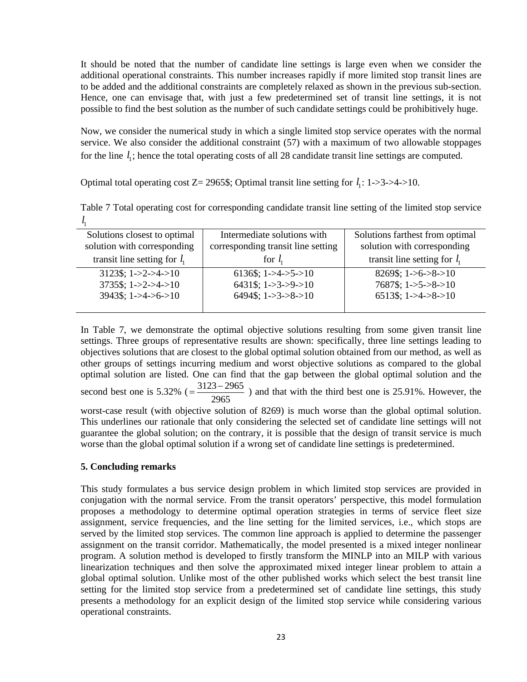It should be noted that the number of candidate line settings is large even when we consider the additional operational constraints. This number increases rapidly if more limited stop transit lines are to be added and the additional constraints are completely relaxed as shown in the previous sub-section. Hence, one can envisage that, with just a few predetermined set of transit line settings, it is not possible to find the best solution as the number of such candidate settings could be prohibitively huge.

Now, we consider the numerical study in which a single limited stop service operates with the normal service. We also consider the additional constraint (57) with a maximum of two allowable stoppages for the line  $l_1$ ; hence the total operating costs of all 28 candidate transit line settings are computed.

Optimal total operating cost  $Z = 2965$ \$; Optimal transit line setting for  $l_1$ : 1->3->4->10.

Table 7 Total operating cost for corresponding candidate transit line setting of the limited stop service 1 *l*

| Solutions closest to optimal<br>solution with corresponding | Intermediate solutions with<br>corresponding transit line setting | Solutions farthest from optimal<br>solution with corresponding                  |
|-------------------------------------------------------------|-------------------------------------------------------------------|---------------------------------------------------------------------------------|
| transit line setting for $l_1$                              | for $l_1$                                                         | transit line setting for $l_1$                                                  |
| $3123\$ ; $1 - 2 - 4 - 10$                                  | 6136\$; 1->4->5->10                                               | $8269\$ ; 1->6->8->10                                                           |
| $3735\$ ; 1->2->4->10<br>$3943\$ ; 1->4->6->10              | $6431\$ ; 1->3->9->10<br>6494\$; $1 - 3 - 8 - 10$                 | $7687\$ ; 1->5->8->10<br>6513\$; $1 \rightarrow 4 \rightarrow 8 \rightarrow 10$ |
|                                                             |                                                                   |                                                                                 |

In Table 7, we demonstrate the optimal objective solutions resulting from some given transit line settings. Three groups of representative results are shown: specifically, three line settings leading to objectives solutions that are closest to the global optimal solution obtained from our method, as well as other groups of settings incurring medium and worst objective solutions as compared to the global optimal solution are listed. One can find that the gap between the global optimal solution and the second best one is 5.32% ( $=\frac{3123-2965}{200}$ 2965  $=\frac{3123-2965}{256}$ ) and that with the third best one is 25.91%. However, the worst-case result (with objective solution of 8269) is much worse than the global optimal solution. This underlines our rationale that only considering the selected set of candidate line settings will not guarantee the global solution; on the contrary, it is possible that the design of transit service is much worse than the global optimal solution if a wrong set of candidate line settings is predetermined.

### **5. Concluding remarks**

This study formulates a bus service design problem in which limited stop services are provided in conjugation with the normal service. From the transit operators' perspective, this model formulation proposes a methodology to determine optimal operation strategies in terms of service fleet size assignment, service frequencies, and the line setting for the limited services, i.e., which stops are served by the limited stop services. The common line approach is applied to determine the passenger assignment on the transit corridor. Mathematically, the model presented is a mixed integer nonlinear program. A solution method is developed to firstly transform the MINLP into an MILP with various linearization techniques and then solve the approximated mixed integer linear problem to attain a global optimal solution. Unlike most of the other published works which select the best transit line setting for the limited stop service from a predetermined set of candidate line settings, this study presents a methodology for an explicit design of the limited stop service while considering various operational constraints.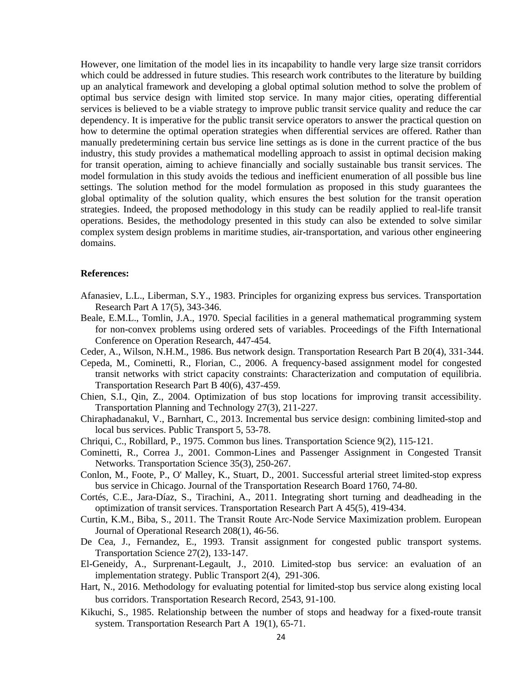However, one limitation of the model lies in its incapability to handle very large size transit corridors which could be addressed in future studies. This research work contributes to the literature by building up an analytical framework and developing a global optimal solution method to solve the problem of optimal bus service design with limited stop service. In many major cities, operating differential services is believed to be a viable strategy to improve public transit service quality and reduce the car dependency. It is imperative for the public transit service operators to answer the practical question on how to determine the optimal operation strategies when differential services are offered. Rather than manually predetermining certain bus service line settings as is done in the current practice of the bus industry, this study provides a mathematical modelling approach to assist in optimal decision making for transit operation, aiming to achieve financially and socially sustainable bus transit services. The model formulation in this study avoids the tedious and inefficient enumeration of all possible bus line settings. The solution method for the model formulation as proposed in this study guarantees the global optimality of the solution quality, which ensures the best solution for the transit operation strategies. Indeed, the proposed methodology in this study can be readily applied to real-life transit operations. Besides, the methodology presented in this study can also be extended to solve similar complex system design problems in maritime studies, air-transportation, and various other engineering domains.

#### **References:**

- Afanasiev, L.L., Liberman, S.Y., 1983. Principles for organizing express bus services. Transportation Research Part A 17(5), 343-346.
- Beale, E.M.L., Tomlin, J.A., 1970. Special facilities in a general mathematical programming system for non-convex problems using ordered sets of variables. Proceedings of the Fifth International Conference on Operation Research, 447-454.
- Ceder, A., Wilson, N.H.M., 1986. Bus network design. Transportation Research Part B 20(4), 331-344.
- Cepeda, M., Cominetti, R., Florian, C., 2006. A frequency-based assignment model for congested transit networks with strict capacity constraints: Characterization and computation of equilibria. Transportation Research Part B 40(6), 437-459.
- Chien, S.I., Qin, Z., 2004. Optimization of bus stop locations for improving transit accessibility. Transportation Planning and Technology 27(3), 211-227.
- Chiraphadanakul, V., Barnhart, C., 2013. Incremental bus service design: combining limited-stop and local bus services. Public Transport 5, 53-78.
- Chriqui, C., Robillard, P., 1975. Common bus lines. Transportation Science 9(2), 115-121.
- Cominetti, R., Correa J., 2001. Common-Lines and Passenger Assignment in Congested Transit Networks. Transportation Science 35(3), 250-267.
- Conlon, M., Foote, P., O' Malley, K., Stuart, D., 2001. Successful arterial street limited-stop express bus service in Chicago. Journal of the Transportation Research Board 1760, 74-80.
- Cortés, C.E., Jara-Díaz, S., Tirachini, A., 2011. Integrating short turning and deadheading in the optimization of transit services. Transportation Research Part A 45(5), 419-434.
- Curtin, K.M., Biba, S., 2011. The Transit Route Arc-Node Service Maximization problem. European Journal of Operational Research 208(1), 46-56.
- De Cea, J., Fernandez, E., 1993. Transit assignment for congested public transport systems. Transportation Science 27(2), 133-147.
- El-Geneidy, A., Surprenant-Legault, J., 2010. Limited-stop bus service: an evaluation of an implementation strategy. Public Transport 2(4), 291-306.
- Hart, N., 2016. Methodology for evaluating potential for limited-stop bus service along existing local bus corridors. Transportation Research Record, 2543, 91-100.
- Kikuchi, S., 1985. Relationship between the number of stops and headway for a fixed-route transit system. Transportation Research Part A 19(1), 65-71.